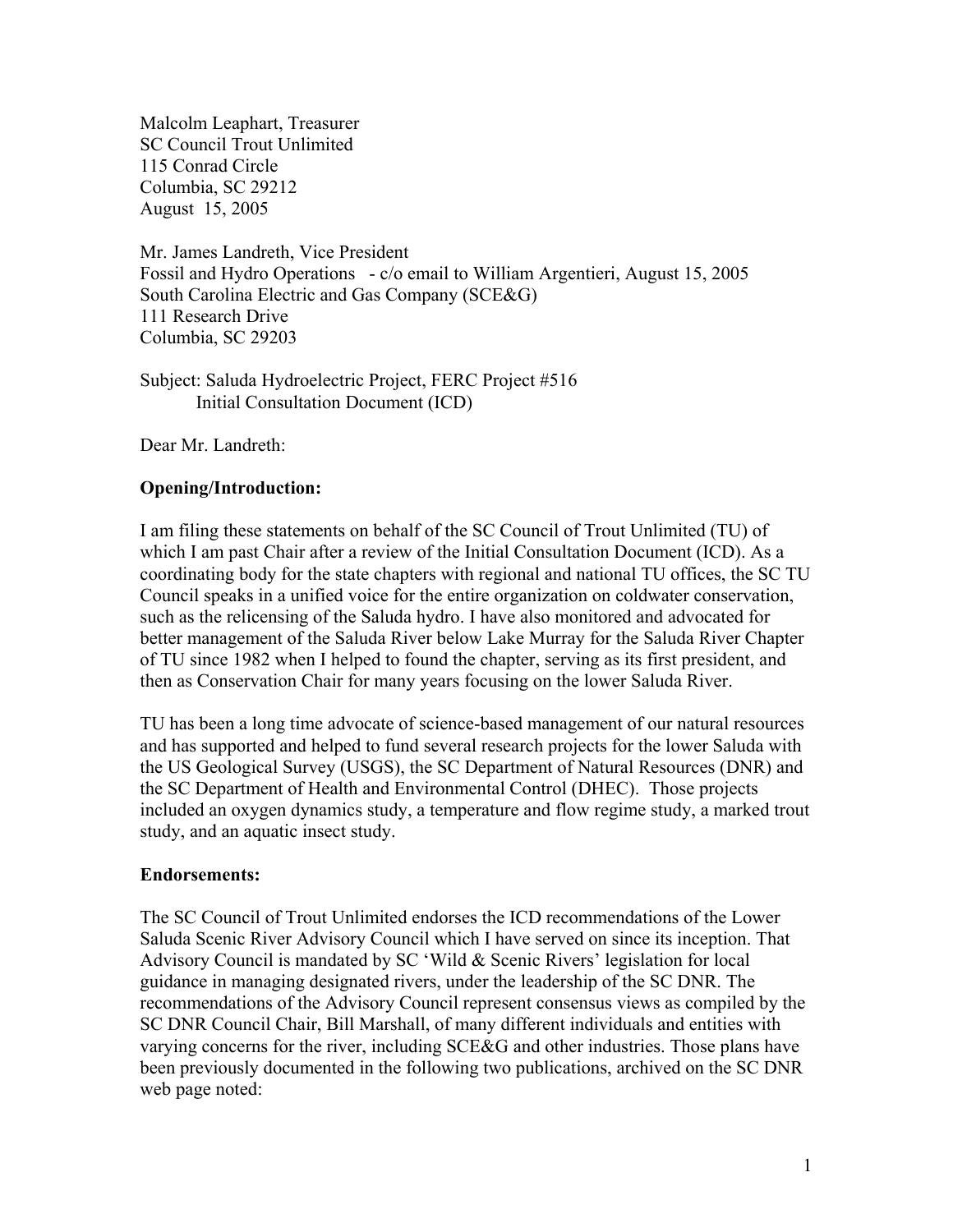Malcolm Leaphart, Treasurer SC Council Trout Unlimited 115 Conrad Circle Columbia, SC 29212 August 15, 2005

Mr. James Landreth, Vice President Fossil and Hydro Operations - c/o email to William Argentieri, August 15, 2005 South Carolina Electric and Gas Company (SCE&G) 111 Research Drive Columbia, SC 29203

Subject: Saluda Hydroelectric Project, FERC Project #516 Initial Consultation Document (ICD)

Dear Mr. Landreth:

# **Opening/Introduction:**

I am filing these statements on behalf of the SC Council of Trout Unlimited (TU) of which I am past Chair after a review of the Initial Consultation Document (ICD). As a coordinating body for the state chapters with regional and national TU offices, the SC TU Council speaks in a unified voice for the entire organization on coldwater conservation, such as the relicensing of the Saluda hydro. I have also monitored and advocated for better management of the Saluda River below Lake Murray for the Saluda River Chapter of TU since 1982 when I helped to found the chapter, serving as its first president, and then as Conservation Chair for many years focusing on the lower Saluda River.

TU has been a long time advocate of science-based management of our natural resources and has supported and helped to fund several research projects for the lower Saluda with the US Geological Survey (USGS), the SC Department of Natural Resources (DNR) and the SC Department of Health and Environmental Control (DHEC). Those projects included an oxygen dynamics study, a temperature and flow regime study, a marked trout study, and an aquatic insect study.

# **Endorsements:**

The SC Council of Trout Unlimited endorses the ICD recommendations of the Lower Saluda Scenic River Advisory Council which I have served on since its inception. That Advisory Council is mandated by SC 'Wild & Scenic Rivers' legislation for local guidance in managing designated rivers, under the leadership of the SC DNR. The recommendations of the Advisory Council represent consensus views as compiled by the SC DNR Council Chair, Bill Marshall, of many different individuals and entities with varying concerns for the river, including SCE&G and other industries. Those plans have been previously documented in the following two publications, archived on the SC DNR web page noted: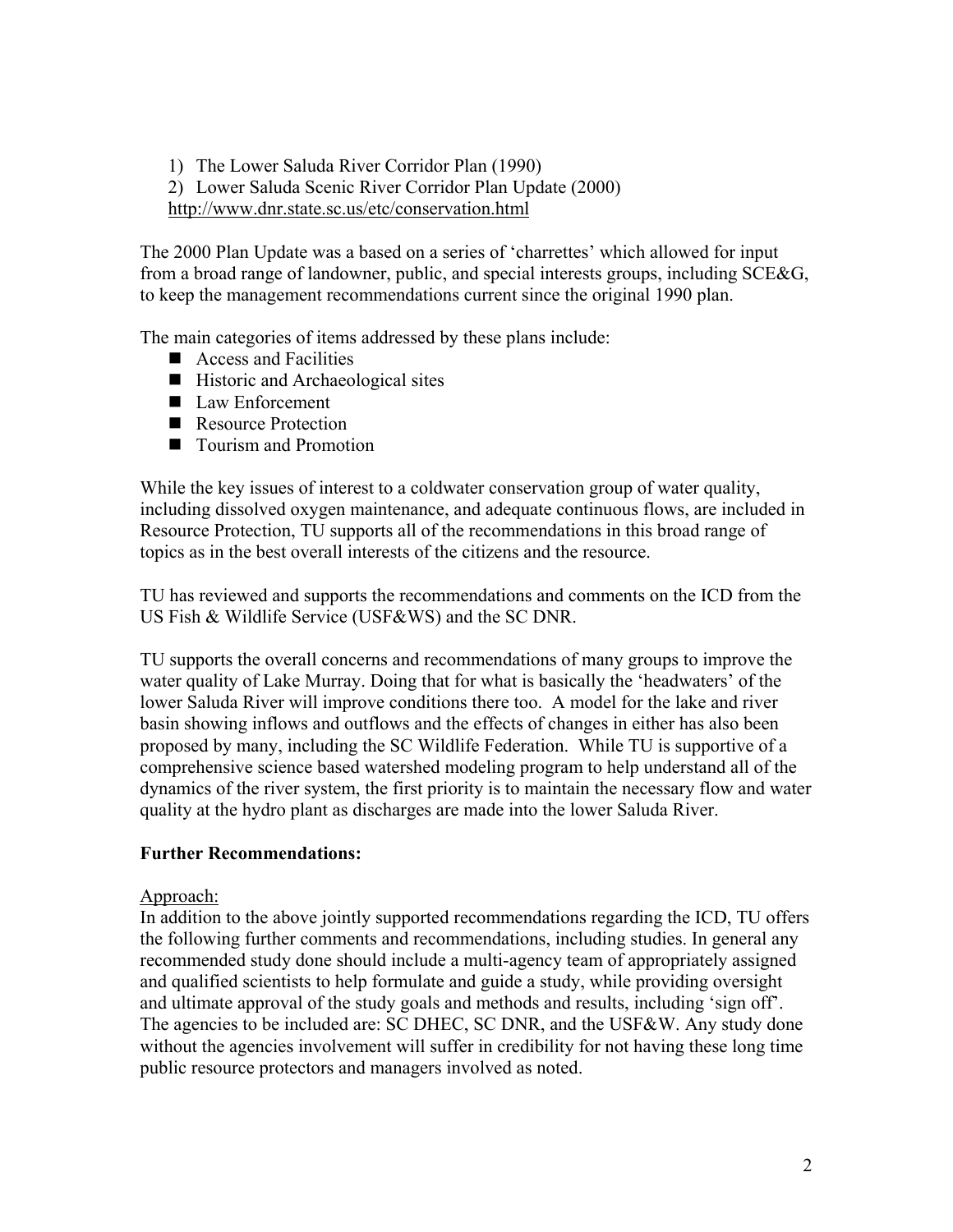1) The Lower Saluda River Corridor Plan (1990)

2) Lower Saluda Scenic River Corridor Plan Update (2000)

http://www.dnr.state.sc.us/etc/conservation.html

The 2000 Plan Update was a based on a series of 'charrettes' which allowed for input from a broad range of landowner, public, and special interests groups, including SCE&G, to keep the management recommendations current since the original 1990 plan.

The main categories of items addressed by these plans include:

- Access and Facilities
- $\blacksquare$  Historic and Archaeological sites
- Law Enforcement
- Resource Protection
- Tourism and Promotion

While the key issues of interest to a coldwater conservation group of water quality, including dissolved oxygen maintenance, and adequate continuous flows, are included in Resource Protection, TU supports all of the recommendations in this broad range of topics as in the best overall interests of the citizens and the resource.

TU has reviewed and supports the recommendations and comments on the ICD from the US Fish & Wildlife Service (USF&WS) and the SC DNR.

TU supports the overall concerns and recommendations of many groups to improve the water quality of Lake Murray. Doing that for what is basically the 'headwaters' of the lower Saluda River will improve conditions there too. A model for the lake and river basin showing inflows and outflows and the effects of changes in either has also been proposed by many, including the SC Wildlife Federation. While TU is supportive of a comprehensive science based watershed modeling program to help understand all of the dynamics of the river system, the first priority is to maintain the necessary flow and water quality at the hydro plant as discharges are made into the lower Saluda River.

# **Further Recommendations:**

# Approach:

In addition to the above jointly supported recommendations regarding the ICD, TU offers the following further comments and recommendations, including studies. In general any recommended study done should include a multi-agency team of appropriately assigned and qualified scientists to help formulate and guide a study, while providing oversight and ultimate approval of the study goals and methods and results, including 'sign off'. The agencies to be included are: SC DHEC, SC DNR, and the USF&W. Any study done without the agencies involvement will suffer in credibility for not having these long time public resource protectors and managers involved as noted.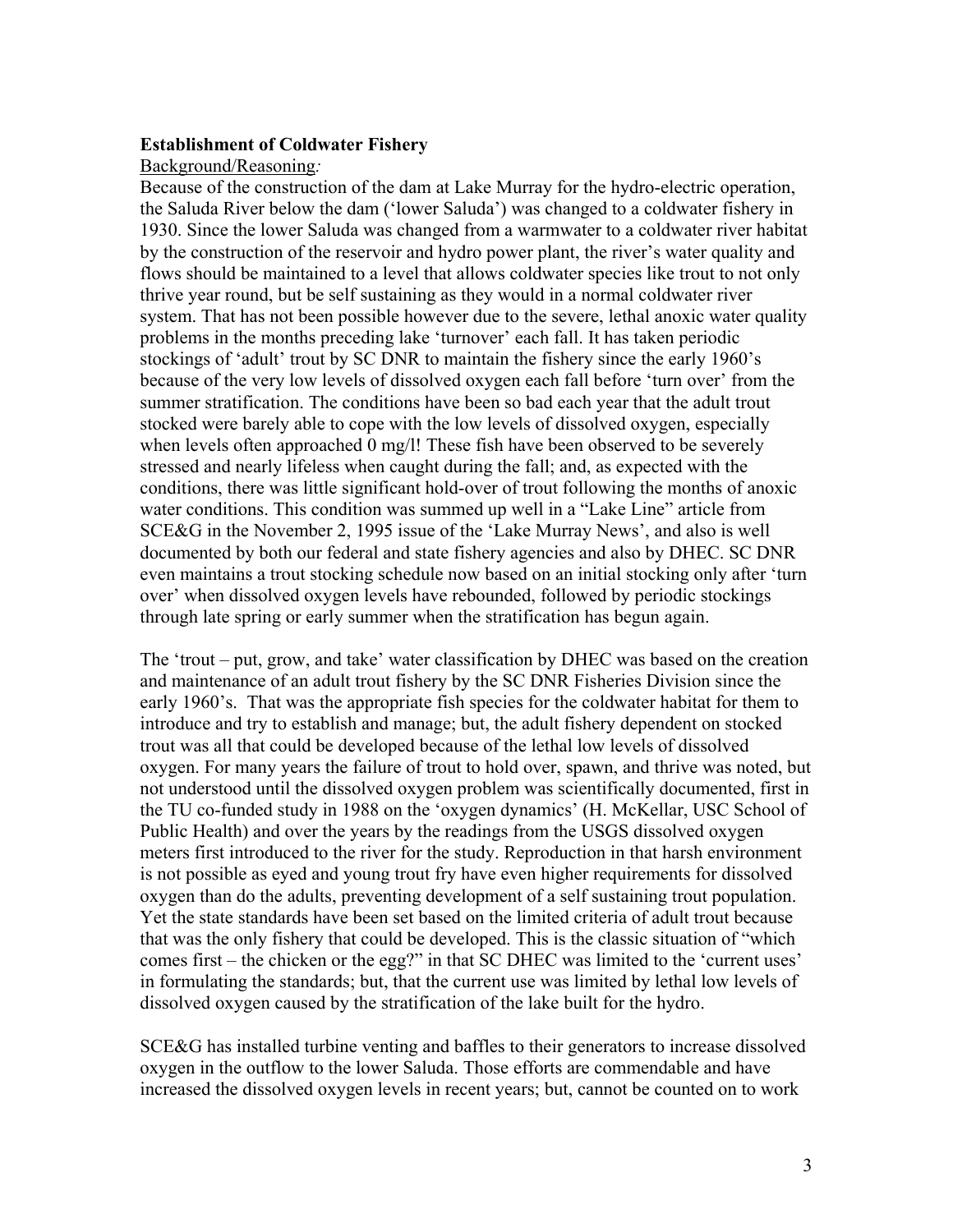# **Establishment of Coldwater Fishery**

### Background/Reasoning*:*

Because of the construction of the dam at Lake Murray for the hydro-electric operation, the Saluda River below the dam ('lower Saluda') was changed to a coldwater fishery in 1930. Since the lower Saluda was changed from a warmwater to a coldwater river habitat by the construction of the reservoir and hydro power plant, the river's water quality and flows should be maintained to a level that allows coldwater species like trout to not only thrive year round, but be self sustaining as they would in a normal coldwater river system. That has not been possible however due to the severe, lethal anoxic water quality problems in the months preceding lake 'turnover' each fall. It has taken periodic stockings of 'adult' trout by SC DNR to maintain the fishery since the early 1960's because of the very low levels of dissolved oxygen each fall before 'turn over' from the summer stratification. The conditions have been so bad each year that the adult trout stocked were barely able to cope with the low levels of dissolved oxygen, especially when levels often approached 0 mg/l! These fish have been observed to be severely stressed and nearly lifeless when caught during the fall; and, as expected with the conditions, there was little significant hold-over of trout following the months of anoxic water conditions. This condition was summed up well in a "Lake Line" article from SCE&G in the November 2, 1995 issue of the 'Lake Murray News', and also is well documented by both our federal and state fishery agencies and also by DHEC. SC DNR even maintains a trout stocking schedule now based on an initial stocking only after 'turn over' when dissolved oxygen levels have rebounded, followed by periodic stockings through late spring or early summer when the stratification has begun again.

The 'trout – put, grow, and take' water classification by DHEC was based on the creation and maintenance of an adult trout fishery by the SC DNR Fisheries Division since the early 1960's. That was the appropriate fish species for the coldwater habitat for them to introduce and try to establish and manage; but, the adult fishery dependent on stocked trout was all that could be developed because of the lethal low levels of dissolved oxygen. For many years the failure of trout to hold over, spawn, and thrive was noted, but not understood until the dissolved oxygen problem was scientifically documented, first in the TU co-funded study in 1988 on the 'oxygen dynamics' (H. McKellar, USC School of Public Health) and over the years by the readings from the USGS dissolved oxygen meters first introduced to the river for the study. Reproduction in that harsh environment is not possible as eyed and young trout fry have even higher requirements for dissolved oxygen than do the adults, preventing development of a self sustaining trout population. Yet the state standards have been set based on the limited criteria of adult trout because that was the only fishery that could be developed. This is the classic situation of "which comes first – the chicken or the egg?" in that SC DHEC was limited to the 'current uses' in formulating the standards; but, that the current use was limited by lethal low levels of dissolved oxygen caused by the stratification of the lake built for the hydro.

SCE&G has installed turbine venting and baffles to their generators to increase dissolved oxygen in the outflow to the lower Saluda. Those efforts are commendable and have increased the dissolved oxygen levels in recent years; but, cannot be counted on to work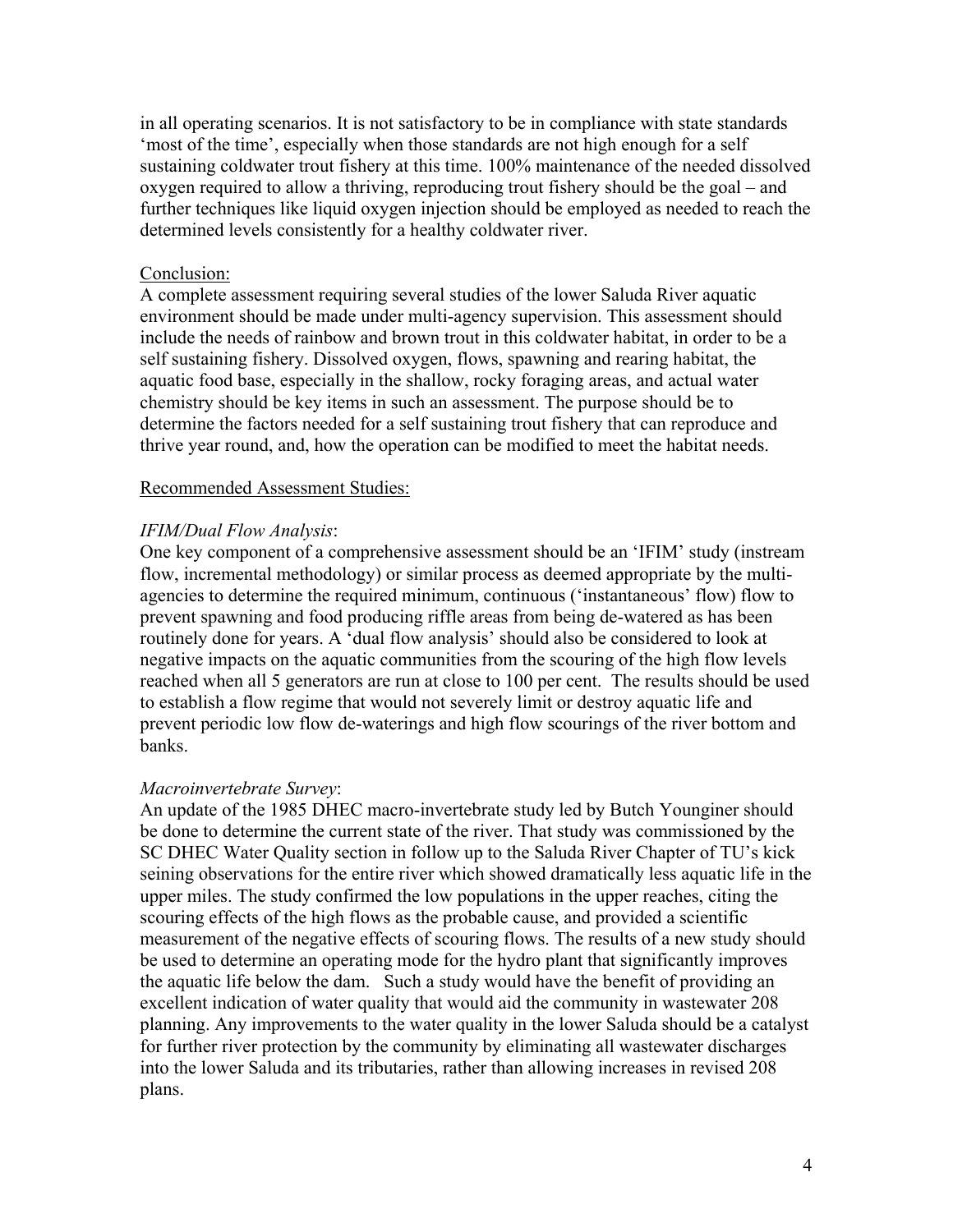in all operating scenarios. It is not satisfactory to be in compliance with state standards 'most of the time', especially when those standards are not high enough for a self sustaining coldwater trout fishery at this time. 100% maintenance of the needed dissolved oxygen required to allow a thriving, reproducing trout fishery should be the goal – and further techniques like liquid oxygen injection should be employed as needed to reach the determined levels consistently for a healthy coldwater river.

### Conclusion:

A complete assessment requiring several studies of the lower Saluda River aquatic environment should be made under multi-agency supervision. This assessment should include the needs of rainbow and brown trout in this coldwater habitat, in order to be a self sustaining fishery. Dissolved oxygen, flows, spawning and rearing habitat, the aquatic food base, especially in the shallow, rocky foraging areas, and actual water chemistry should be key items in such an assessment. The purpose should be to determine the factors needed for a self sustaining trout fishery that can reproduce and thrive year round, and, how the operation can be modified to meet the habitat needs.

#### Recommended Assessment Studies:

### *IFIM/Dual Flow Analysis*:

One key component of a comprehensive assessment should be an 'IFIM' study (instream flow, incremental methodology) or similar process as deemed appropriate by the multiagencies to determine the required minimum, continuous ('instantaneous' flow) flow to prevent spawning and food producing riffle areas from being de-watered as has been routinely done for years. A 'dual flow analysis' should also be considered to look at negative impacts on the aquatic communities from the scouring of the high flow levels reached when all 5 generators are run at close to 100 per cent. The results should be used to establish a flow regime that would not severely limit or destroy aquatic life and prevent periodic low flow de-waterings and high flow scourings of the river bottom and banks.

#### *Macroinvertebrate Survey*:

An update of the 1985 DHEC macro-invertebrate study led by Butch Younginer should be done to determine the current state of the river. That study was commissioned by the SC DHEC Water Quality section in follow up to the Saluda River Chapter of TU's kick seining observations for the entire river which showed dramatically less aquatic life in the upper miles. The study confirmed the low populations in the upper reaches, citing the scouring effects of the high flows as the probable cause, and provided a scientific measurement of the negative effects of scouring flows. The results of a new study should be used to determine an operating mode for the hydro plant that significantly improves the aquatic life below the dam. Such a study would have the benefit of providing an excellent indication of water quality that would aid the community in wastewater 208 planning. Any improvements to the water quality in the lower Saluda should be a catalyst for further river protection by the community by eliminating all wastewater discharges into the lower Saluda and its tributaries, rather than allowing increases in revised 208 plans.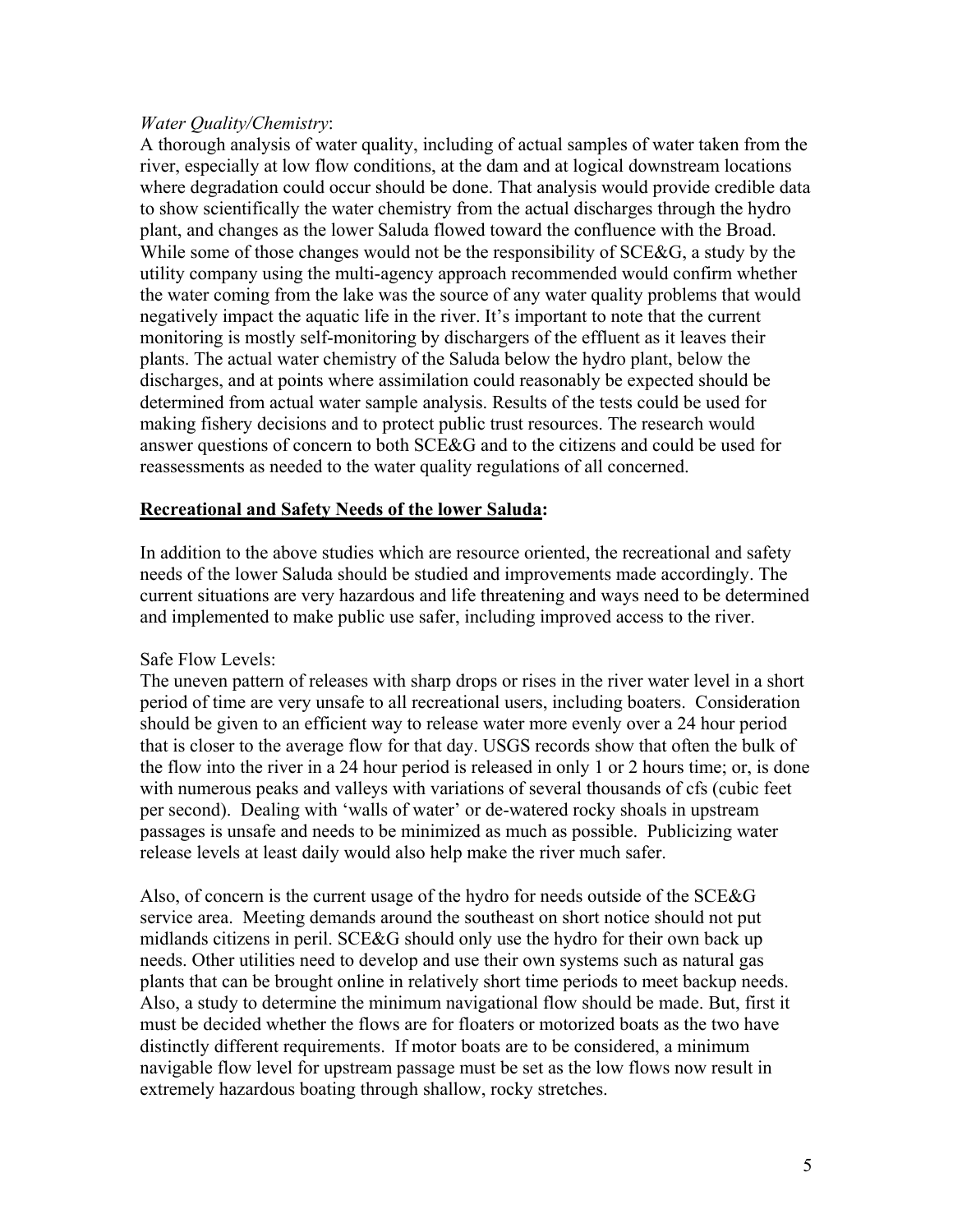# *Water Quality/Chemistry*:

A thorough analysis of water quality, including of actual samples of water taken from the river, especially at low flow conditions, at the dam and at logical downstream locations where degradation could occur should be done. That analysis would provide credible data to show scientifically the water chemistry from the actual discharges through the hydro plant, and changes as the lower Saluda flowed toward the confluence with the Broad. While some of those changes would not be the responsibility of SCE&G, a study by the utility company using the multi-agency approach recommended would confirm whether the water coming from the lake was the source of any water quality problems that would negatively impact the aquatic life in the river. It's important to note that the current monitoring is mostly self-monitoring by dischargers of the effluent as it leaves their plants. The actual water chemistry of the Saluda below the hydro plant, below the discharges, and at points where assimilation could reasonably be expected should be determined from actual water sample analysis. Results of the tests could be used for making fishery decisions and to protect public trust resources. The research would answer questions of concern to both SCE&G and to the citizens and could be used for reassessments as needed to the water quality regulations of all concerned.

# **Recreational and Safety Needs of the lower Saluda:**

In addition to the above studies which are resource oriented, the recreational and safety needs of the lower Saluda should be studied and improvements made accordingly. The current situations are very hazardous and life threatening and ways need to be determined and implemented to make public use safer, including improved access to the river.

# Safe Flow Levels:

The uneven pattern of releases with sharp drops or rises in the river water level in a short period of time are very unsafe to all recreational users, including boaters. Consideration should be given to an efficient way to release water more evenly over a 24 hour period that is closer to the average flow for that day. USGS records show that often the bulk of the flow into the river in a 24 hour period is released in only 1 or 2 hours time; or, is done with numerous peaks and valleys with variations of several thousands of cfs (cubic feet per second). Dealing with 'walls of water' or de-watered rocky shoals in upstream passages is unsafe and needs to be minimized as much as possible. Publicizing water release levels at least daily would also help make the river much safer.

Also, of concern is the current usage of the hydro for needs outside of the SCE&G service area. Meeting demands around the southeast on short notice should not put midlands citizens in peril. SCE&G should only use the hydro for their own back up needs. Other utilities need to develop and use their own systems such as natural gas plants that can be brought online in relatively short time periods to meet backup needs. Also, a study to determine the minimum navigational flow should be made. But, first it must be decided whether the flows are for floaters or motorized boats as the two have distinctly different requirements. If motor boats are to be considered, a minimum navigable flow level for upstream passage must be set as the low flows now result in extremely hazardous boating through shallow, rocky stretches.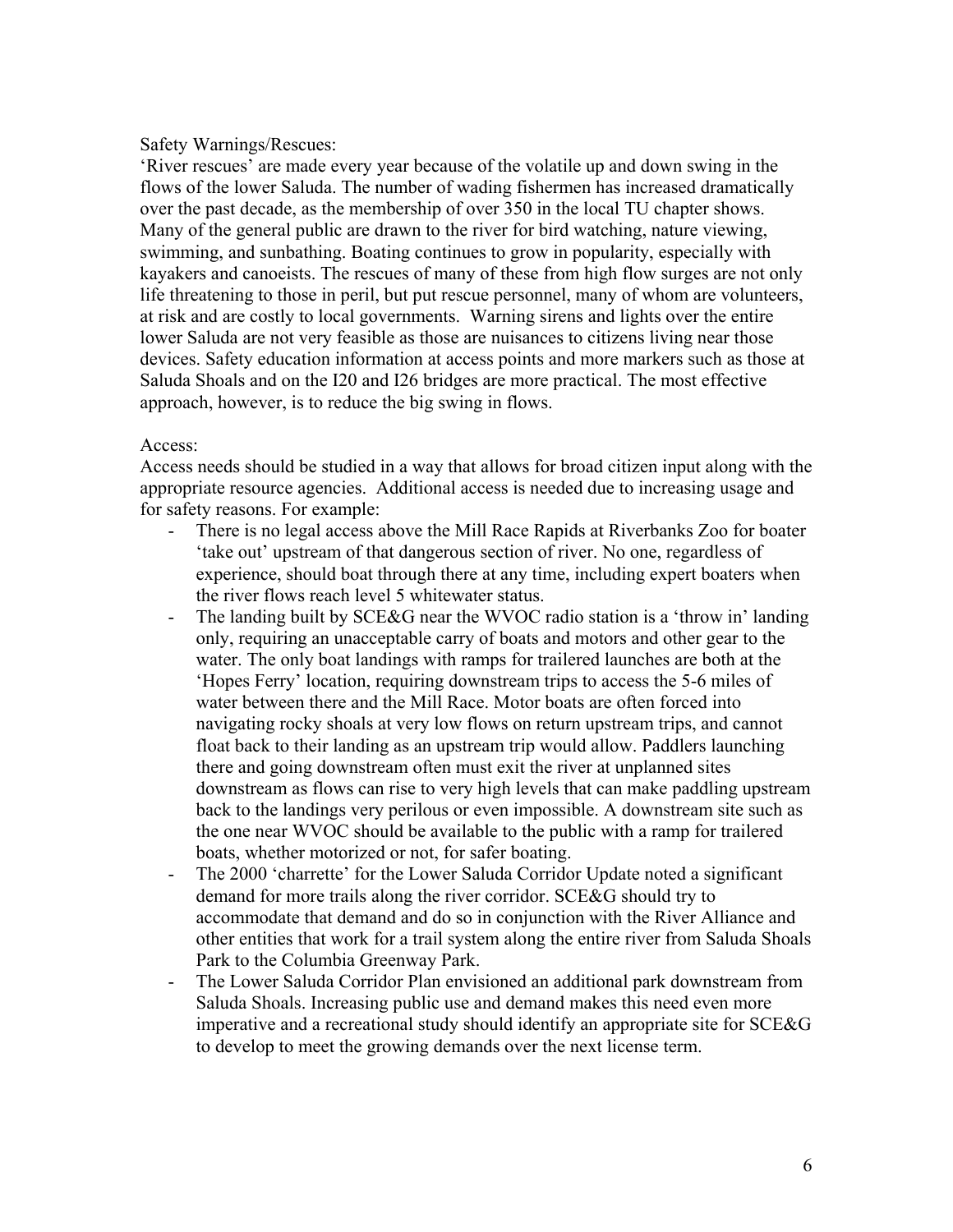### Safety Warnings/Rescues:

'River rescues' are made every year because of the volatile up and down swing in the flows of the lower Saluda. The number of wading fishermen has increased dramatically over the past decade, as the membership of over 350 in the local TU chapter shows. Many of the general public are drawn to the river for bird watching, nature viewing, swimming, and sunbathing. Boating continues to grow in popularity, especially with kayakers and canoeists. The rescues of many of these from high flow surges are not only life threatening to those in peril, but put rescue personnel, many of whom are volunteers, at risk and are costly to local governments. Warning sirens and lights over the entire lower Saluda are not very feasible as those are nuisances to citizens living near those devices. Safety education information at access points and more markers such as those at Saluda Shoals and on the I20 and I26 bridges are more practical. The most effective approach, however, is to reduce the big swing in flows.

#### Access:

Access needs should be studied in a way that allows for broad citizen input along with the appropriate resource agencies. Additional access is needed due to increasing usage and for safety reasons. For example:

- There is no legal access above the Mill Race Rapids at Riverbanks Zoo for boater 'take out' upstream of that dangerous section of river. No one, regardless of experience, should boat through there at any time, including expert boaters when the river flows reach level 5 whitewater status.
- The landing built by SCE&G near the WVOC radio station is a 'throw in' landing only, requiring an unacceptable carry of boats and motors and other gear to the water. The only boat landings with ramps for trailered launches are both at the 'Hopes Ferry' location, requiring downstream trips to access the 5-6 miles of water between there and the Mill Race. Motor boats are often forced into navigating rocky shoals at very low flows on return upstream trips, and cannot float back to their landing as an upstream trip would allow. Paddlers launching there and going downstream often must exit the river at unplanned sites downstream as flows can rise to very high levels that can make paddling upstream back to the landings very perilous or even impossible. A downstream site such as the one near WVOC should be available to the public with a ramp for trailered boats, whether motorized or not, for safer boating.
- The 2000 'charrette' for the Lower Saluda Corridor Update noted a significant demand for more trails along the river corridor. SCE&G should try to accommodate that demand and do so in conjunction with the River Alliance and other entities that work for a trail system along the entire river from Saluda Shoals Park to the Columbia Greenway Park.
- The Lower Saluda Corridor Plan envisioned an additional park downstream from Saluda Shoals. Increasing public use and demand makes this need even more imperative and a recreational study should identify an appropriate site for SCE&G to develop to meet the growing demands over the next license term.